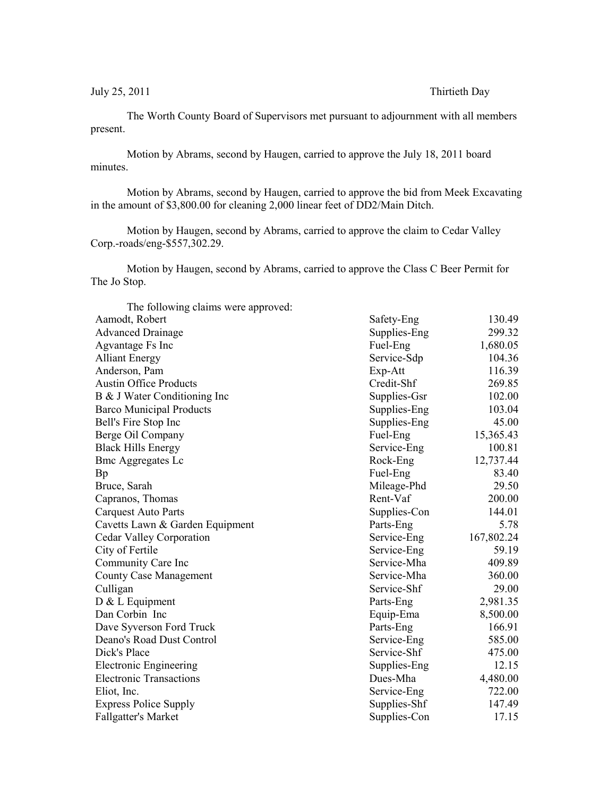July 25, 2011 Thirtieth Day

The Worth County Board of Supervisors met pursuant to adjournment with all members present.

Motion by Abrams, second by Haugen, carried to approve the July 18, 2011 board minutes.

Motion by Abrams, second by Haugen, carried to approve the bid from Meek Excavating in the amount of \$3,800.00 for cleaning 2,000 linear feet of DD2/Main Ditch.

Motion by Haugen, second by Abrams, carried to approve the claim to Cedar Valley Corp.-roads/eng-\$557,302.29.

Motion by Haugen, second by Abrams, carried to approve the Class C Beer Permit for The Jo Stop.

| The following claims were approved: |              |            |
|-------------------------------------|--------------|------------|
| Aamodt, Robert                      | Safety-Eng   | 130.49     |
| <b>Advanced Drainage</b>            | Supplies-Eng | 299.32     |
| Agvantage Fs Inc                    | Fuel-Eng     | 1,680.05   |
| <b>Alliant Energy</b>               | Service-Sdp  | 104.36     |
| Anderson, Pam                       | Exp-Att      | 116.39     |
| <b>Austin Office Products</b>       | Credit-Shf   | 269.85     |
| B & J Water Conditioning Inc        | Supplies-Gsr | 102.00     |
| <b>Barco Municipal Products</b>     | Supplies-Eng | 103.04     |
| Bell's Fire Stop Inc                | Supplies-Eng | 45.00      |
| Berge Oil Company                   | Fuel-Eng     | 15,365.43  |
| <b>Black Hills Energy</b>           | Service-Eng  | 100.81     |
| <b>Bmc Aggregates Lc</b>            | Rock-Eng     | 12,737.44  |
| Bp                                  | Fuel-Eng     | 83.40      |
| Bruce, Sarah                        | Mileage-Phd  | 29.50      |
| Capranos, Thomas                    | Rent-Vaf     | 200.00     |
| <b>Carquest Auto Parts</b>          | Supplies-Con | 144.01     |
| Cavetts Lawn & Garden Equipment     | Parts-Eng    | 5.78       |
| Cedar Valley Corporation            | Service-Eng  | 167,802.24 |
| City of Fertile                     | Service-Eng  | 59.19      |
| Community Care Inc                  | Service-Mha  | 409.89     |
| <b>County Case Management</b>       | Service-Mha  | 360.00     |
| Culligan                            | Service-Shf  | 29.00      |
| D & L Equipment                     | Parts-Eng    | 2,981.35   |
| Dan Corbin Inc                      | Equip-Ema    | 8,500.00   |
| Dave Syverson Ford Truck            | Parts-Eng    | 166.91     |
| Deano's Road Dust Control           | Service-Eng  | 585.00     |
| Dick's Place                        | Service-Shf  | 475.00     |
| <b>Electronic Engineering</b>       | Supplies-Eng | 12.15      |
| <b>Electronic Transactions</b>      | Dues-Mha     | 4,480.00   |
| Eliot, Inc.                         | Service-Eng  | 722.00     |
| <b>Express Police Supply</b>        | Supplies-Shf | 147.49     |
| <b>Fallgatter's Market</b>          | Supplies-Con | 17.15      |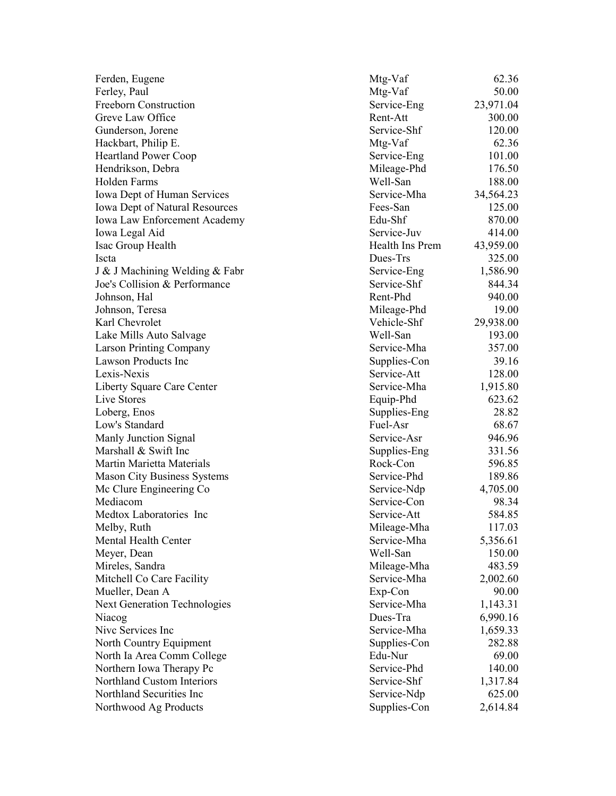| Ferden, Eugene                      | Mtg-Vaf         | 62.36     |
|-------------------------------------|-----------------|-----------|
| Ferley, Paul                        | Mtg-Vaf         | 50.00     |
| Freeborn Construction               | Service-Eng     | 23,971.04 |
| Greve Law Office                    | Rent-Att        | 300.00    |
| Gunderson, Jorene                   | Service-Shf     | 120.00    |
| Hackbart, Philip E.                 | Mtg-Vaf         | 62.36     |
| <b>Heartland Power Coop</b>         | Service-Eng     | 101.00    |
| Hendrikson, Debra                   | Mileage-Phd     | 176.50    |
| Holden Farms                        | Well-San        | 188.00    |
| Iowa Dept of Human Services         | Service-Mha     | 34,564.23 |
| Iowa Dept of Natural Resources      | Fees-San        | 125.00    |
| Iowa Law Enforcement Academy        | Edu-Shf         | 870.00    |
| Iowa Legal Aid                      | Service-Juv     | 414.00    |
| Isac Group Health                   | Health Ins Prem | 43,959.00 |
| Iscta                               | Dues-Trs        | 325.00    |
| J & J Machining Welding & Fabr      | Service-Eng     | 1,586.90  |
| Joe's Collision & Performance       | Service-Shf     | 844.34    |
| Johnson, Hal                        | Rent-Phd        | 940.00    |
| Johnson, Teresa                     | Mileage-Phd     | 19.00     |
| Karl Chevrolet                      | Vehicle-Shf     | 29,938.00 |
| Lake Mills Auto Salvage             | Well-San        | 193.00    |
| <b>Larson Printing Company</b>      | Service-Mha     | 357.00    |
| <b>Lawson Products Inc</b>          | Supplies-Con    | 39.16     |
| Lexis-Nexis                         | Service-Att     | 128.00    |
| Liberty Square Care Center          | Service-Mha     | 1,915.80  |
| Live Stores                         | Equip-Phd       | 623.62    |
| Loberg, Enos                        | Supplies-Eng    | 28.82     |
| Low's Standard                      | Fuel-Asr        | 68.67     |
| Manly Junction Signal               | Service-Asr     | 946.96    |
| Marshall & Swift Inc                | Supplies-Eng    | 331.56    |
| Martin Marietta Materials           | Rock-Con        | 596.85    |
| <b>Mason City Business Systems</b>  | Service-Phd     | 189.86    |
| Mc Clure Engineering Co             | Service-Ndp     | 4,705.00  |
| Mediacom                            | Service-Con     | 98.34     |
| Medtox Laboratories Inc             | Service-Att     | 584.85    |
| Melby, Ruth                         | Mileage-Mha     | 117.03    |
| Mental Health Center                | Service-Mha     | 5,356.61  |
| Meyer, Dean                         | Well-San        | 150.00    |
| Mireles, Sandra                     | Mileage-Mha     | 483.59    |
| Mitchell Co Care Facility           | Service-Mha     | 2,002.60  |
| Mueller, Dean A                     | Exp-Con         | 90.00     |
| <b>Next Generation Technologies</b> | Service-Mha     | 1,143.31  |
| Niacog                              | Dues-Tra        | 6,990.16  |
| Nive Services Inc                   | Service-Mha     | 1,659.33  |
| North Country Equipment             | Supplies-Con    | 282.88    |
| North Ia Area Comm College          | Edu-Nur         | 69.00     |
| Northern Iowa Therapy Pc            | Service-Phd     | 140.00    |
| Northland Custom Interiors          | Service-Shf     | 1,317.84  |
| Northland Securities Inc            | Service-Ndp     | 625.00    |
| Northwood Ag Products               | Supplies-Con    | 2,614.84  |
|                                     |                 |           |